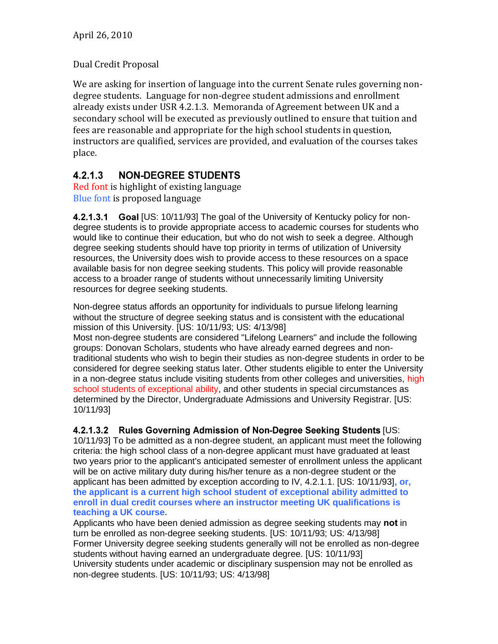## Dual Credit Proposal

We are asking for insertion of language into the current Senate rules governing nondegree students. Language for non-degree student admissions and enrollment already exists under USR 4.2.1.3. Memoranda of Agreement between UK and a secondary school will be executed as previously outlined to ensure that tuition and fees are reasonable and appropriate for the high school students in question, instructors are qualified, services are provided, and evaluation of the courses takes place.

## $4.2.1.3$ **NON-DEGREE STUDENTS**

Red font is highlight of existing language Blue font is proposed language

**4.2.1.3.1 Goal [US: 10/11/93] The goal of the University of Kentucky policy for non**degree students is to provide appropriate access to academic courses for students who would like to continue their education, but who do not wish to seek a degree. Although degree seeking students should have top priority in terms of utilization of University resources, the University does wish to provide access to these resources on a space available basis for non degree seeking students. This policy will provide reasonable access to a broader range of students without unnecessarily limiting University resources for degree seeking students.

Non-degree status affords an opportunity for individuals to pursue lifelong learning without the structure of degree seeking status and is consistent with the educational mission of this University. [US: 10/11/93; US: 4/13/98]

Most non-degree students are considered "Lifelong Learners" and include the following groups: Donovan Scholars, students who have already earned degrees and nontraditional students who wish to begin their studies as non-degree students in order to be considered for degree seeking status later. Other students eligible to enter the University in a non-degree status include visiting students from other colleges and universities, high school students of exceptional ability, and other students in special circumstances as determined by the Director, Undergraduate Admissions and University Registrar. [US: 10/11/93]

4.2.1.3.2 Rules Governing Admission of Non-Degree Seeking Students [US: 10/11/93] To be admitted as a non-degree student, an applicant must meet the following criteria: the high school class of a non-degree applicant must have graduated at least two years prior to the applicant's anticipated semester of enrollment unless the applicant will be on active military duty during his/her tenure as a non-degree student or the applicant has been admitted by exception according to IV, 4.2.1.1. [US: 10/11/93]**, or, the applicant is a current high school student of exceptional ability admitted to enroll in dual credit courses where an instructor meeting UK qualifications is teaching a UK course.** 

Applicants who have been denied admission as degree seeking students may not in turn be enrolled as non-degree seeking students. [US: 10/11/93; US: 4/13/98] Former University degree seeking students generally will not be enrolled as non-degree students without having earned an undergraduate degree. [US: 10/11/93] University students under academic or disciplinary suspension may not be enrolled as non-degree students. [US: 10/11/93; US: 4/13/98]